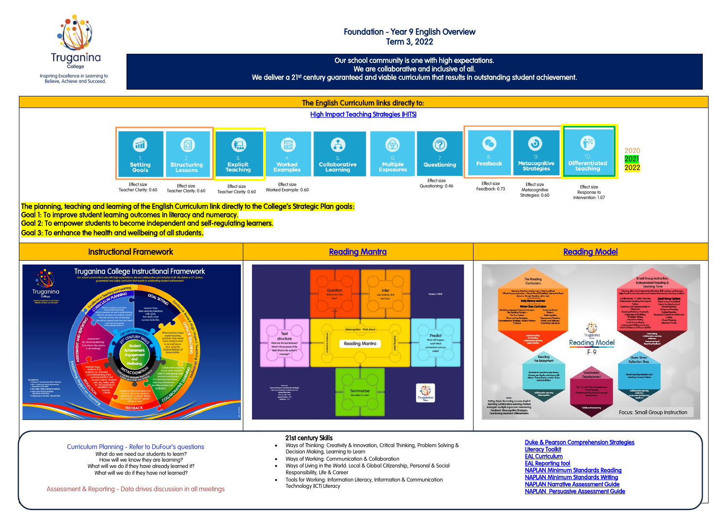Inspiring Excellence in Learning to Believe, Achieve and Succeed.

**Truganina** 

# Foundation - Year 9 English Overview Term 3, 2022

L Our school community is one with high expectations. We are collaborative and inclusive of all. We deliver a 21st century guaranteed and viable curriculum that results in outstanding student achievement.



- Ways of Working: Communication & Collaboration
- Ways of Living in the World: Local & Global Citizenship, Personal & Social Responsibility, Life & Career
- Tools for Working: Information Literacy, Information & Communication Technology (ICT) Literacy

How will we know they are learning? What will we do if they have already learned it? What will we do if they have not learned?

Assessment & Reporting - Data drives discussion in all meetings

[EAL Reporting tool](https://www.education.vic.gov.au/school/teachers/support/diversity/eal/Pages/ealreport.aspx) 

[NAPLAN Minimum Standards Reading](https://www.nap.edu.au/naplan/reading/minimum-standards)  [NAPLAN Minimum Standards Writing](https://www.nap.edu.au/naplan/writing/minimum-standards)  [NAPLAN Narrative Assessment Guide](https://www.vcaa.vic.edu.au/Documents/naplan/schools/2016/2016WritingMarkingGuide.pdf)  [NAPLAN Persuasive Assessment Guide](https://www.vcaa.vic.edu.au/Documents/naplan/schools/2017/Writing_Marking_GuideforDS.pdf)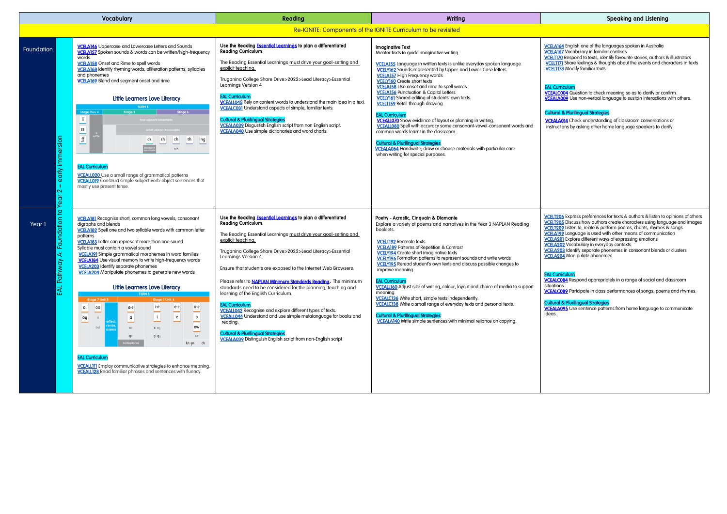| Vocabulary |                                         |                                                                                                                                                                                                                                                                                                                                                                                                                                                                                                                                                                                                                                                                                                                                                                                                                                                                                                                                                                                                     | Reading                                                                                                                                                                                                                                                                                                                                                                                                                                                                                                                                                                                                                                                                                                                                                                                                                          | Writing                                                                                                                                                                                                                                                                                                                                                                                                                                                                                                                                                                                                                                                                                                                                                                                                                                                                                               |
|------------|-----------------------------------------|-----------------------------------------------------------------------------------------------------------------------------------------------------------------------------------------------------------------------------------------------------------------------------------------------------------------------------------------------------------------------------------------------------------------------------------------------------------------------------------------------------------------------------------------------------------------------------------------------------------------------------------------------------------------------------------------------------------------------------------------------------------------------------------------------------------------------------------------------------------------------------------------------------------------------------------------------------------------------------------------------------|----------------------------------------------------------------------------------------------------------------------------------------------------------------------------------------------------------------------------------------------------------------------------------------------------------------------------------------------------------------------------------------------------------------------------------------------------------------------------------------------------------------------------------------------------------------------------------------------------------------------------------------------------------------------------------------------------------------------------------------------------------------------------------------------------------------------------------|-------------------------------------------------------------------------------------------------------------------------------------------------------------------------------------------------------------------------------------------------------------------------------------------------------------------------------------------------------------------------------------------------------------------------------------------------------------------------------------------------------------------------------------------------------------------------------------------------------------------------------------------------------------------------------------------------------------------------------------------------------------------------------------------------------------------------------------------------------------------------------------------------------|
|            |                                         |                                                                                                                                                                                                                                                                                                                                                                                                                                                                                                                                                                                                                                                                                                                                                                                                                                                                                                                                                                                                     |                                                                                                                                                                                                                                                                                                                                                                                                                                                                                                                                                                                                                                                                                                                                                                                                                                  | Re-IGNITE: Components of the IGNITE Curriculum to be revisited                                                                                                                                                                                                                                                                                                                                                                                                                                                                                                                                                                                                                                                                                                                                                                                                                                        |
| Foundation | early immersion<br>т<br>2               | <b>VCELA146</b> Uppercase and Lowercase Letters and Sounds<br>VCELA157 Spoken sounds & words can be written/high-frequency<br>words<br><b>VCELA158</b> Onset and Rime to spell words<br><b>VCELA168</b> Identify rhyming words, alliteration patterns, syllables<br>and phonemes<br><b>VCELA169</b> Blend and segment onset and rime<br><b>Little Learners Love Literacy</b><br>TERM <sub>3</sub><br>Stage 6<br><b>Stage Plus 4</b><br>Stage 5<br>u<br>final adjacent consono<br>SS<br>$\operatorname{\textsf{f}}\nolimits$<br>th<br>sh<br>ch<br>ck<br>ng<br>tch<br><b>EAL Curriculum</b><br><b>VCEALL020</b> Use a small range of grammatical patterns<br><b>VCEALL019</b> Construct simple subject-verb-object sentences that<br>mostly use present tense.                                                                                                                                                                                                                                        | Use the Reading <b>Essential Learnings</b> to plan a differentiated<br>Reading Curriculum.<br>The Reading Essential Learnings must drive your goal-setting and<br>explicit teaching.<br>Truganina College Share Drive>2022>Lead Literacy>Essential<br>Learnings Version 4<br><b>EAL Curriculum</b><br>VCEALL045 Rely on content words to understand the main idea in a text.<br><b>VCEALC031</b> Understand aspects of simple, familiar texts.<br><b>Cultural &amp; Plurilingual Strategies</b><br><b>VCEALA039</b> Disgustish English script from non English script.<br><b>VCEALA040</b> Use simple dictionaries and word charts.                                                                                                                                                                                              | <b>Imaginative Text</b><br>Mentor texts to guide imaginative writing<br>VCELA155 Language in written texts is unlike everyday spoken language<br><b>VCELY162</b> Sounds represented by Upper-and Lower-Case letters<br><b>VCELA157</b> High Frequency words<br><b>VCELY160</b> Create short texts<br><b>VCELA158</b> Use onset and rime to spell words<br><b>VCELA156</b> Punctuation & Capital Letters<br><b>VCELY161</b> Shared editing of students' own texts<br><b>VCELTI59</b> Retell through drawing<br><b>EAL Curriculum</b><br><b>VCEALL070</b> Show evidence of layout or planning in writing.<br><b>VCEALL080</b> Spell with accuracy some consonant-vowel-consonant words and<br>common words learnt in the classroom.<br><b>Cultural &amp; Plurilingual Strategies</b><br><b>VCEALA064</b> Handwrite, draw or choose materials with particular care<br>when writing for special purposes. |
| Year 1     | Foundation to Year<br>ä<br>Pathway<br>덨 | <b>VCELA181</b> Recognise short, common long vowels, consonant<br>digraphs and blends<br><b>VCELA182</b> Spell one and two syllable words with common letter<br>patterns<br><b>VCELA183</b> Letter can represent more than one sound<br>Syllable must contain a vowel sound<br><b>VCELA191</b> Simple grammatical morphemes in word families<br><b>VCELA184</b> Use visual memory to write high-frequency words<br><b>VCELA203</b> Identify separate phonemes<br><b>VCELA204</b> Manipulate phonemes to generate new words<br><b>Little Learners Love Literacy</b><br>TERM 3<br>Stage 7 Unit 4<br>Stage 7 Unit 3<br>i-e<br>e-e<br>$o-e$<br>οί<br>00<br>$a-e$<br>$\mathfrak{i}$<br>$\pmb{e}$<br>$\mathfrak a$<br>$\mathsf{o}$<br>oy<br>$\mathsf{u}$<br>revise<br>ow<br>oul<br>ce<br>ci cy<br>oe<br>$g$ e<br>gi gy<br>kn gn ch<br><b>EAL Curriculum</b><br><b>VCEALLIII</b> Employ communicative strategies to enhance meaning.<br><b>VCEALL128</b> Read familiar phrases and sentences with fluency. | Use the Reading <b>Essential Learnings</b> to plan a differentiated<br>Reading Curriculum.<br>The Reading Essential Learnings must drive your goal-setting and<br>explicit teaching.<br>Truganina College Share Drive>2022>Lead Literacy>Essential<br>Learnings Version 4<br>Ensure that students are exposed to the Internet Web Browsers.<br>Please refer to <b>NAPLAN Minimum Standards Reading</b> . The minimum<br>standards need to be considered for the planning, teaching and<br>learning of the English Curriculum.<br><b>EAL Curriculum</b><br><b>VCEALL042</b> Recognise and explore different types of texts.<br>VCEALL044 Understand and use simple metalanguage for books and<br>reading.<br><b>Cultural &amp; Plurilingual Strategies</b><br><b>VCEALA039</b> Distinguish English script from non-English script | Poetry - Acrostic, Cinquain & Diamante<br>Explore a variety of poems and narratives in the Year 3 NAPLAN Reading<br>booklets.<br><b>VCELT192</b> Recreate texts<br><b>VCELA189</b> Patterns of Repetition & Contrast<br><b>VCELY194</b> Create short imaginative texts<br><b>VCELY196</b> Formation patterns to represent sounds and write words<br>VCELY195 Reread student's own texts and discuss possible changes to<br>improve meaning<br><b>EAL Curriculum</b><br>VCEALL160 Adjust size of writing, colour, layout and choice of media to support<br>meaning.<br><b>VCEALC136</b> Write short, simple texts independently.<br><b>VCEALC138</b> Write a small range of everyday texts and personal texts.<br><b>Cultural &amp; Plurilingual Strategies</b><br>VCEALA140 Write simple sentences with minimal reliance on copying.                                                                  |

## Speaking and Listening

[VCELA164](https://victoriancurriculum.vcaa.vic.edu.au/Curriculum/ContentDescription/VCELA164) English one of the languages spoken in Australia [VCELA167 V](https://victoriancurriculum.vcaa.vic.edu.au/Curriculum/ContentDescription/VCELA167)ocabulary in familiar contexts [VCELT170](https://victoriancurriculum.vcaa.vic.edu.au/Curriculum/ContentDescription/VCELT170) Respond to texts, identify favourite stories, authors & illustrators

VCELTI71 Share feelings & thoughts about the events and characters in texts **VCELT173** Modify familiar texts

#### EAL Curriculum

**VCEALC004** Question to check meaning so as to clarify or confirm. **VCEALA009** Use non-verbal language to sustain interactions with others.

[VCELT206](https://victoriancurriculum.vcaa.vic.edu.au/Curriculum/ContentDescription/VCELT206) Express preferences for texts & authors & listen to opinions of others [VCELT205](https://victoriancurriculum.vcaa.vic.edu.au/Curriculum/ContentDescription/VCELT205) Discuss how authors create characters using language and images [VCELT209](https://victoriancurriculum.vcaa.vic.edu.au/Curriculum/ContentDescription/VCELT209) Listen to, recite & perform poems, chants, rhymes & songs [VCELA199](https://victoriancurriculum.vcaa.vic.edu.au/Curriculum/ContentDescription/VCELA199) Language is used with other means of communication **VCELA201** Explore different ways of expressing emotions

### Cultural & Plurilingual Strategies

 [VCEALA014](https://victoriancurriculum.vcaa.vic.edu.au/Curriculum/ContentDescription/VCEALA014) Check understanding of classroom conversations or instructions by asking other home language speakers to clarify.

[VCELA202](https://victoriancurriculum.vcaa.vic.edu.au/Curriculum/ContentDescription/VCELA202) Vocabulary in everyday contexts

[VCELA203 I](https://victoriancurriculum.vcaa.vic.edu.au/Curriculum/ContentDescription/VCELA203)dentify separate phonemes in consonant blends or clusters [VCELA204](https://victoriancurriculum.vcaa.vic.edu.au/Curriculum/ContentDescription/VCELA204) Manipulate phonemes

#### EAL Curriculum

**VCEALC084** Respond appropriately in a range of social and classroom situations. [VCEALC089](https://victoriancurriculum.vcaa.vic.edu.au/Curriculum/ContentDescription/VCEALC089) Partcipate in class performances of songs, poems and rhymes.

#### Cultural & Plurilingual Strategies

[VCEALA095 U](https://victoriancurriculum.vcaa.vic.edu.au/Curriculum/ContentDescription/VCEALA095)se sentence patterns from home language to communicate ideas.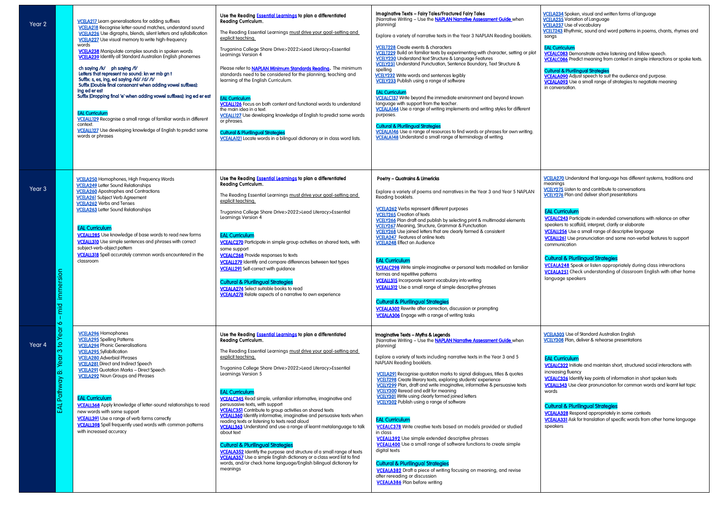[VCEALC083](https://victoriancurriculum.vcaa.vic.edu.au/Curriculum/ContentDescription/VCEALC083) Demonstrate activie listening and follow speech. [VCEALC086](https://victoriancurriculum.vcaa.vic.edu.au/Curriculum/ContentDescription/VCEALC086) Predict meaning from context in simple interactions or spoke texts.

**[VCEALA090](https://victoriancurriculum.vcaa.vic.edu.au/Curriculum/ContentDescription/VCEALA090)** Adjust speech to suit the audience and purpose. **VCEALA093** Use a small range of strategies to negotiate meaning in conversation.

[VCELA234](https://victoriancurriculum.vcaa.vic.edu.au/Curriculum/ContentDescription/VCELA234) Spoken, visual and written forms of language [VCELA235](https://victoriancurriculum.vcaa.vic.edu.au/Curriculum/ContentDescription/VCELA235) Variation of Language [VCELA237](https://victoriancurriculum.vcaa.vic.edu.au/Curriculum/ContentDescription/VCELA237) Use of vocabulary [VCELT243](https://victoriancurriculum.vcaa.vic.edu.au/Curriculum/ContentDescription/VCELT243) Rhythmic, sound and word patterns in poems, chants, rhymes and songs

**VCEALC243** Participate in extended conversations with reliance on other speakers to scaffold, interpret, clarify or elaborate

**VCEALL256** Use a small range of descriptive language

## EAL Curriculum

#### Cultural & Plurilingual Strategies

| Year 2                                                               | <b>VCELA217</b> Learn generalisations for adding suffixes<br>VCELA218 Recognise letter-sound matches, understand sound<br>VCELA226 Use digraphs, blends, silent letters and syllabification<br><b>VCELA227</b> Use visual memory to write high-frequency<br>words<br><b>VCELA238</b> Manipulate complex sounds in spoken words<br><b>VCELA239</b> Identify all Standard Australian English phonemes<br>ch saying /k/ ph saying /f/<br>Letters that represent no sound: kn wr mb gn t<br>Suffix: s, es, ing, ed saying /id/ /d/ /t/<br>Suffix [Double final consonant when adding vowel suffixes]:<br>ing ed er est<br>Suffix [Dropping final 'e' when adding vowel suffixes]: ing ed er est<br><b>EAL Curriculum</b><br>VCEALL129 Recognise a small range of familiar words in different<br>context.<br><b>VCEALL127</b> Use developing knowledge of English to predict some<br>words or phrases | Use the Reading <b>Essential Learnings</b> to plan a differentiated<br><b>Reading Curriculum.</b><br>The Reading Essential Learnings must drive your goal-setting and<br>explicit teaching.<br>Truganina College Share Drive>2022>Lead Literacy>Essential<br>Learnings Version 4<br>Please refer to <b>NAPLAN Minimum Standards Reading</b> . The minimum<br>standards need to be considered for the planning, teaching and<br>learning of the English Curriculum.<br><b>EAL Curriculum</b><br><b>VCEALL126</b> Focus on both content and functional words to understand<br>the main idea in a text.<br><b>VCEALL127</b> Use developing knowledge of English to predict some words<br>or phrases.<br><b>Cultural &amp; Plurilingual Strategies</b><br><b>VCEALA121</b> Locate words in a bilingual dictionary or in class word lists.                                                                                                                                                                                | Imaginative Texts - Fairy Tales/Fractured Fairy Tales<br>[Narrative Writing - Use the <b>NAPLAN Narrative Assessment Guide</b> when<br>planning]<br>Explore a variety of narrative texts in the Year 3 NAPLAN Reading booklets.<br><b>VCELT228</b> Create events & characters<br>VCELT229 Build on familiar texts by experimenting with character, setting or plot<br>VCELY230 Understand text Structure & Language Features<br><b>VCELY231</b> Understand Punctuation, Sentence Boundary, Text Structure &<br>spelling<br><b>VCELY232</b> Write words and sentences legibly<br><b>VCELY233</b> Publish using a range of software<br><b>EAL Curriculum</b><br><b>VCEALC137</b> Write beyond the immediate environment and beyond known<br>language with support from the teacher.<br>VCEALA144 Use a range of writing implements and writing styles for different<br>purposes.<br><b>Cultural &amp; Plurilingual Strategies</b><br>VCEALA146 Use a range of resources to find words or phrases for own writing.<br>VCEALA148 Understand a small range of terminology of writing. |
|----------------------------------------------------------------------|--------------------------------------------------------------------------------------------------------------------------------------------------------------------------------------------------------------------------------------------------------------------------------------------------------------------------------------------------------------------------------------------------------------------------------------------------------------------------------------------------------------------------------------------------------------------------------------------------------------------------------------------------------------------------------------------------------------------------------------------------------------------------------------------------------------------------------------------------------------------------------------------------|----------------------------------------------------------------------------------------------------------------------------------------------------------------------------------------------------------------------------------------------------------------------------------------------------------------------------------------------------------------------------------------------------------------------------------------------------------------------------------------------------------------------------------------------------------------------------------------------------------------------------------------------------------------------------------------------------------------------------------------------------------------------------------------------------------------------------------------------------------------------------------------------------------------------------------------------------------------------------------------------------------------------|----------------------------------------------------------------------------------------------------------------------------------------------------------------------------------------------------------------------------------------------------------------------------------------------------------------------------------------------------------------------------------------------------------------------------------------------------------------------------------------------------------------------------------------------------------------------------------------------------------------------------------------------------------------------------------------------------------------------------------------------------------------------------------------------------------------------------------------------------------------------------------------------------------------------------------------------------------------------------------------------------------------------------------------------------------------------------------|
| Year 3<br>sion<br>innner<br>piu<br>$\mathbf{I}$<br>Ó                 | <b>VCELA250</b> Homophones, High Frequency Words<br><b>VCELA249</b> Letter Sound Relationships<br><b>VCELA260</b> Apostrophes and Contractions<br><b>VCELA261</b> Subject Verb Agreement<br><b>VCELA262</b> Verbs and Tenses<br><b>VCELA263</b> Letter Sound Relationships<br><b>EAL Curriculum</b><br><b>VCEALL285</b> Use knowledge of base words to read new forms<br><b>VCEALL310</b> Use simple sentences and phrases with correct<br>subject-verb-object pattern<br><b>VCEALL318</b> Spell accurately common words encountered in the<br>classroom                                                                                                                                                                                                                                                                                                                                         | Use the Reading Essential Learnings to plan a differentiated<br>Reading Curriculum.<br>The Reading Essential Learnings must drive your goal-setting and<br>explicit teaching.<br>Truganina College Share Drive>2022>Lead Literacy>Essential<br>Learnings Version 4<br><b>EAL Curriculum</b><br><b>VCEALC270</b> Participate in simple group activities on shared texts, with<br>some support<br><b>VCEALC268</b> Provide responses to texts<br><b>VCEALL279</b> Identify and compare differences between text types<br><b>VCEALL291</b> Self-correct with guidance<br><b>Cultural &amp; Plurilingual Strategies</b><br><b>VCEALA274</b> Select suitable books to read<br><b>VCEALA278</b> Relate aspects of a narrative to own experience                                                                                                                                                                                                                                                                            | Poetry - Quatrains & Limericks<br>Explore a variety of poems and narratives in the Year 3 and Year 5 NAPLAN<br>Reading booklets.<br><b>VCELA262</b> Verbs represent different purposes<br><b>VCELT265</b> Creation of texts<br>VCELY266 Plan draft and publish by selecting print & multimodal elements<br>VCELY267 Meaning, Structure, Grammar & Punctuation<br><b>VCELY268</b> Use joined letters that are clearly formed & consistent<br><b>VCELA247</b> Features of online texts<br><b>VCELA248 Effect on Audience</b><br><b>EAL Curriculum</b><br><b>VCEALC298</b> Write simple imaginative or personal texts modelled on familiar<br>formas and repetitive patterns<br><b>VCEALL315</b> Incorporate learnt vocabulary into writing<br><b>VCEALL312</b> Use a small range of simple descriptive phrases<br><b>Cultural &amp; Plurilingual Strategies</b><br><b>VCEALA302</b> Rewrite after correction, discussion or prompting<br><b>VCEALA306</b> Engage with a range of writing tasks                                                                                     |
| Year<br>$\overline{a}$<br>Year 4<br>က<br>Year<br>أثثة<br>EAL Pathway | <b>VCELA296</b> Homophones<br><b>VCELA295</b> Spelling Patterns<br><b>VCELA294 Phonic Generalisations</b><br><b>VCELA295</b> Syllabification<br><b>VCELA280</b> Adverbial Phrases<br><b>VCELA281</b> Direct and Indirect Speech<br><b>VCELA291</b> Quotation Marks - Direct Speech<br><b>VCELA292</b> Noun Groups and Phrases<br><b>EAL Curriculum</b><br><b>VCEALL368</b> Apply knowledge of letter-sound relationships to read<br>new words with some support<br><b>VCEALL391</b> Use a range of verb forms correctly<br><b>VCEALL398</b> Spell frequently used words with common patterns<br>with increased accuracy                                                                                                                                                                                                                                                                          | Use the Reading <b>Essential Learnings</b> to plan a differentiated<br><b>Reading Curriculum.</b><br>The Reading Essential Learnings must drive your goal-setting and<br>explicit teaching.<br>Truganina College Share Drive>2022>Lead Literacy>Essential<br>Learnings Version 5<br><b>EAL Curriculum</b><br><b>VCEALC345</b> Read simple, unfamiliar informative, imaginative and<br>persusasive texts, with support<br><b>VCEALC351</b> Contribute to group activities on shared texts<br><b>VCEALL360</b> Identify informative, imaginative and persuasive texts when<br>reading texts or listening to texts read aloud<br><b>VCEALL363</b> Understand and use a range of learnt metalanguage to talk<br>about text<br><b>Cultural &amp; Plurilingual Strategies</b><br>VCEALA352 Identify the purpose and structure of a small range of texts<br><b>VCEALA357</b> Use a simple English dictionary or a class word list to find<br>words, and/or check home language/English bilingual dictionary for<br>meanings | Imaginative Texts - Myths & Legends<br>[Narrative Writing - Use the NAPLAN Narrative Assessment Guide when<br>planninal<br>Explore a variety of texts including narrative texts in the Year 3 and 5<br>NAPLAN Reading booklets.<br><b>VCELA291</b> Recognise quotation marks to signal dialogues, titles & quotes<br>VCELT298 Create literary texts, exploring students' experience<br>VCELY299 Plan, draft and write imaginative, informative & persuasive texts<br><b>VCELY300</b> Reread and edit for meaning<br><b>VCELY301</b> Write using clearly formed joined letters<br><b>VCELY302</b> Publish using a range of software<br><b>EAL Curriculum</b><br><b>VCEALC378</b> Write creative texts based on models provided or studied<br>in class<br><b>VCEALL392</b> Use simple extended descriptive phrases<br><b>VCEALL400</b> Use a small range of software functions to create simple<br>digital texts<br><b>Cultural &amp; Plurilingual Strategies</b><br><b>VCEALA382</b> Draft a piece of writing focusing on meaning, and revise<br>after rereading or discussion    |

**VCEALA386** Plan before writing

 $\overline{\phantom{a}}$ 

**VCELA303** Use of Standard Australian English [VCELY308](https://victoriancurriculum.vcaa.vic.edu.au/Curriculum/ContentDescription/VCELY308) Plan, deliver & rehearse presentations

[VCEALL343](https://victoriancurriculum.vcaa.vic.edu.au/Curriculum/ContentDescription/VCEALL343) Use clear pronunciation for common words and learnt ket topic words

**VCEALA328** Respond appropriately in some contexts [VCEALA331 A](https://victoriancurriculum.vcaa.vic.edu.au/Curriculum/ContentDescription/VCEALA331)sk for translation of specific words from other home language speakers

[VCELA270](https://victoriancurriculum.vcaa.vic.edu.au/Curriculum/ContentDescription/VCELA270) Understand that language has different systems, traditions and meanings

**[VCELY275](https://victoriancurriculum.vcaa.vic.edu.au/Curriculum/ContentDescription/VCELY275)** Listen to and contribute to conversations

**[VCELY276](https://victoriancurriculum.vcaa.vic.edu.au/Curriculum/ContentDescription/VCELY276)** Plan and deliver short presentations

## EAL Curriculum

[VCEALL261 U](https://victoriancurriculum.vcaa.vic.edu.au/Curriculum/ContentDescription/VCEALL261)se pronunciation and some non-verbal features to support communication

## Cultural & Plurilingual Strategies

[VCEALA248 S](https://victoriancurriculum.vcaa.vic.edu.au/Curriculum/ContentDescription/VCEALA248)peak or listen appropriately during class intreractions [VCEALA251](https://victoriancurriculum.vcaa.vic.edu.au/Curriculum/ContentDescription/VCEALA251) Check understanding of classroom English with other home language speakers

#### EAL Curriculum

[VCEALC322 I](https://victoriancurriculum.vcaa.vic.edu.au/Curriculum/ContentDescription/VCEALC322)nitiate and maintain short, structured social interactions with increasing fluency

[VCEALC326 I](https://victoriancurriculum.vcaa.vic.edu.au/Curriculum/ContentDescription/VCEALC326)dentify key points of information in short spoken texts

### Cultural & Plurilingual Strategies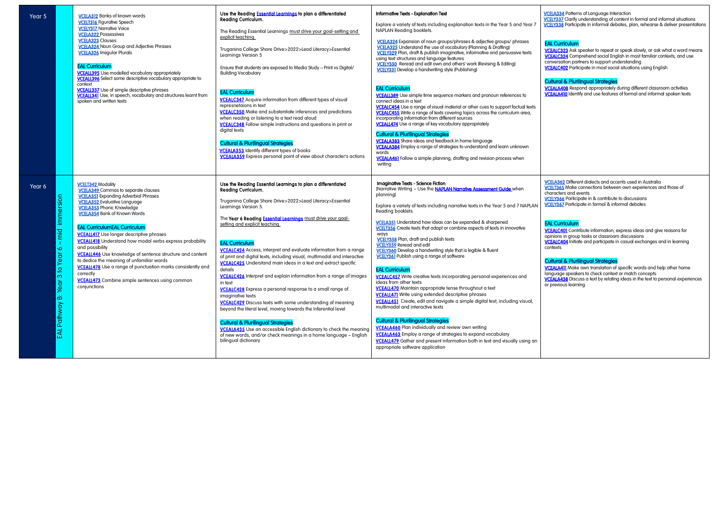[VCEALC323 A](https://victoriancurriculum.vcaa.vic.edu.au/Curriculum/ContentDescription/VCEALC323)sk speaker to repeat or speak slowly, or ask what a word means [VCEALC324 C](https://victoriancurriculum.vcaa.vic.edu.au/Curriculum/ContentDescription/VCEALC324)omprehend social English in most familiar contexts, and use conversation partners to support understanding [VCEALC402 P](https://victoriancurriculum.vcaa.vic.edu.au/Curriculum/ContentDescription/VCEALC402)articipate in most social situations using English

| Year 5                                                                                               | <b>VCELA312 Banks of known words</b><br><b>VCELT316</b> Figurative Speech<br><b>VCELY317 Narrative Voice</b><br><b>VCELA322 Possessives</b><br><b>VCELA323 Clauses</b><br><b>VCELA324</b> Noun Group and Adjective Phrases<br><b>VCELA326 Irregular Plurals</b><br><b>EAL Curriculum</b><br><b>VCEALL395</b> Use modelled vocabulary appropriately<br><b>VCEALL396</b> Select some descriptive vocabulary appropriate to<br>context<br><b>VCEALL337</b> Use of simple descriptive phrases<br><b>VCEALL341</b> Use, in speech, vocabulary and structures learnt from<br>spoken and written texts                                                                                                | Use the Reading <b>Essential Learnings</b> to plan a differentiated<br><b>Reading Curriculum.</b><br>The Reading Essential Learnings must drive your goal-setting and<br>explicit teaching.<br>Truganina College Share Drive>2022>Lead Literacy>Essential<br>Learnings Version 5<br>Ensure that students are exposed to Media Study - Print vs Digital/<br><b>Building Vocabulary</b><br><b>EAL Curriculum</b><br><b>VCEALC347</b> Acquire information from different types of visual<br>represnetaions in text<br><b>VCEALC350</b> Make and substantiate inferences and predictions<br>when reading or listening to a text read aloud<br><b>VCEALC348</b> Follow simple instructions and questions in print or<br>digital texts<br><b>Cultural &amp; Plurilingual Strategies</b><br><b>VCEALA353</b> Identify different types of books<br><b>VCEALA359</b> Express personal point of view about character's actions                                                                                                                                                                                              | Informative Texts - Explanation Text<br>Explore a variety of texts including explanation texts in the Year 5 and Year 7<br>NAPLAN Reading booklets.<br>VCELA324 Expansion of noun groups/phrases & adjective groups/ phrases<br><b>VCELA325</b> Understand the use of vocabulary (Planning & Drafting)<br>VCELY329 Plan, draft & publish imaginative, informative and persuasive texts<br>using text structures and language features<br>VCELY330 Reread and edit own and others' work (Revising & Editing)<br><b>VCELY331</b> Develop a handwriting style (Publishing)<br><b>EAL Curriculum</b><br><b>VCEALL389</b> Use simple time sequence markers and pronoun references to<br>connect ideas in a text<br>VCEALC454 Use a range of visual material or other cues to support factual texts<br><b>VCEALC455</b> Write a range of texts covering topics across the curriculum area,<br>incorporating information from different sources<br>VCEALL474 Use a range of key vocabulary appropriately<br><b>Cultural &amp; Plurilingual Strategies</b><br><b>VCEALA383</b> Share ideas and feedback in home language<br>VCEALA384 Employ a range of strategies to understand and learn unknown<br>words<br>VCEALA461 Follow a simple planning, drafting and revision process when<br>writing                             |
|------------------------------------------------------------------------------------------------------|------------------------------------------------------------------------------------------------------------------------------------------------------------------------------------------------------------------------------------------------------------------------------------------------------------------------------------------------------------------------------------------------------------------------------------------------------------------------------------------------------------------------------------------------------------------------------------------------------------------------------------------------------------------------------------------------|-------------------------------------------------------------------------------------------------------------------------------------------------------------------------------------------------------------------------------------------------------------------------------------------------------------------------------------------------------------------------------------------------------------------------------------------------------------------------------------------------------------------------------------------------------------------------------------------------------------------------------------------------------------------------------------------------------------------------------------------------------------------------------------------------------------------------------------------------------------------------------------------------------------------------------------------------------------------------------------------------------------------------------------------------------------------------------------------------------------------|----------------------------------------------------------------------------------------------------------------------------------------------------------------------------------------------------------------------------------------------------------------------------------------------------------------------------------------------------------------------------------------------------------------------------------------------------------------------------------------------------------------------------------------------------------------------------------------------------------------------------------------------------------------------------------------------------------------------------------------------------------------------------------------------------------------------------------------------------------------------------------------------------------------------------------------------------------------------------------------------------------------------------------------------------------------------------------------------------------------------------------------------------------------------------------------------------------------------------------------------------------------------------------------------------------------------|
| Year 6<br>immersion<br>mid<br>$\mathbf{I}$<br>$\bullet$<br>3 to Year<br>o<br>ğδ<br>۵ä<br>EAL Pathway | <b>VCELT342 Modality</b><br><b>VCELA349</b> Commas to separate clauses<br><b>VCELA351</b> Expanding Adverbial Phrases<br><b>VCELA352</b> Evaluative Language<br><b>VCELA353</b> Phonic Knowledge<br><b>VCELA354</b> Bank of Known Words<br><b>EAL CurriculumEAL Curriculum</b><br><b>VCEALL417</b> Use longer descriptive phrases<br><b>VCEALL418</b> Understand how modal verbs express probability<br>and possibility<br>VCEALL446 Use knowledge of sentence structure and content<br>to dedice the meaning of unfamiliar words<br><b>VCEALL478</b> Use a range of punctuation marks consistently and<br>correctly<br><b>VCEALL473</b> Combine simple sentences using common<br>conjunctions | Use the Reading Essential Learnings to plan a differentiated<br><b>Reading Curriculum.</b><br>Truganina College Share Drive>2022>Lead Literacy>Essential<br>Learnings Version 5.<br>The Year 6 Reading <b>Essential Learnings</b> must drive your goal-<br>setting and explicit teaching.<br><b>EAL Curriculum</b><br><b>VCEALC424</b> Access, interpret and evaluate information from a range<br>of print and digital texts, including visual, multimodal and interactive<br><b>VCEALC425</b> Understand main ideas in a text and extract specific<br>details<br><b>VCEALC426</b> Interpret and explain information from a range of images<br>in text<br><b>VCEALC428</b> Express a personal response to a small range of<br>imaginative texts<br><b>VCEALC429</b> Discuss texts with some understanding of meaning<br>beyond the literal level, moving towards the inferential level<br><b>Cultural &amp; Plurilingual Strategies</b><br><b>VCEALA435</b> Use an accessible English dictionary to check the meaning<br>of new words, and/or check meanings in a home language - English<br>bilingual dictionary | Imaginative Texts - Science Fiction<br>[Narrative Writing - Use the <b>NAPLAN Narrative Assessment Guide</b> when<br>planning]<br>Explore a variety of texts including narrative texts in the Year 5 and 7 NAPLAN<br>Reading booklets.<br><b>VCELA351</b> Understand how ideas can be expanded & sharpened<br>VCELT356 Create texts that adapt or combine aspects of texts in innovative<br>ways<br><b>VCELY358</b> Plan, draft and publish texts<br><b>VCELY359</b> Reread and edit<br>VCELY360 Develop a handwriting style that is legible & fluent<br><b>VCELY361</b> Publish using a range of software<br><b>EAL Curriculum</b><br><b>VCEALC457</b> Write creative texts incorporating personal experiences and<br>ideas from other texts<br><b>VCEALL470</b> Maintain appropriate tense throughout a text<br><b>VCEALL471</b> Write using extended descriptive phrases<br><b>VCEALL451</b> Create, edit and navigate a simple digital text, including visual,<br>multimodal and interactive texts<br><b>Cultural &amp; Plurilingual Strategies</b><br><b>VCEALA460</b> Plan individually and review own writing<br><b>VCEALA463</b> Employ a range of strategies to expand vocabulary<br><b>VCEALL479</b> Gather and present information both in text and visually using an<br>appropriate software application |

[VCELA334](https://victoriancurriculum.vcaa.vic.edu.au/Curriculum/ContentDescription/VCELA334) Patterns of Language Interaction [VCELY337](https://victoriancurriculum.vcaa.vic.edu.au/Curriculum/ContentDescription/VCELY337) Clarify understanding of content in formal and informal situations [VCELY338](https://victoriancurriculum.vcaa.vic.edu.au/Curriculum/ContentDescription/VCELY338) Participate in informal debates, plan, rehearse & deliver presentations

# EAL Curriculum

[VCELA362](https://victoriancurriculum.vcaa.vic.edu.au/Curriculum/ContentDescription/VCELA362) Different dialects and accents used in Australia [VCELT365](https://victoriancurriculum.vcaa.vic.edu.au/Curriculum/ContentDescription/VCELT365) Make connections between own experiences and those of characters and events **[VCELY366](https://victoriancurriculum.vcaa.vic.edu.au/Curriculum/ContentDescription/VCELY366)** Participate in & contribute to discussions

# Cultural & Plurilingual Strategies

**VCEALA408** Respond appropriately during different classroom activities **VCEALA410** Identify and use features of formal and informal spoken texts

[VCEALC401](https://victoriancurriculum.vcaa.vic.edu.au/Curriculum/ContentDescription/VCEALC401) Contribute information, express ideas and give reasons for opinions in group tasks or classroom discussions [VCEALC404](https://victoriancurriculum.vcaa.vic.edu.au/Curriculum/ContentDescription/VCEALC404) Initiate and participate in casual exchanges and in learning contexts

[VCEALA411 M](https://victoriancurriculum.vcaa.vic.edu.au/Curriculum/ContentDescription/VCEALA411)ake own translation of specific words and help other home language speakers to check context or match concepts [VCEALA438 D](https://victoriancurriculum.vcaa.vic.edu.au/Curriculum/ContentDescription/VCEALA438)iscuss a text by relating ideas in the text to personal experiences or previous learning

[VCELY367](https://victoriancurriculum.vcaa.vic.edu.au/Curriculum/ContentDescription/VCELY367) Participate in formal & informal debates

# EAL Curriculum

# Cultural & Plurilingual Strategies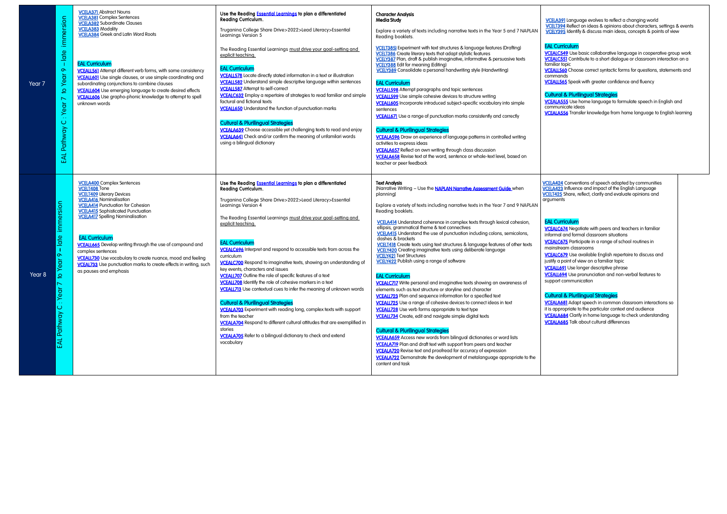[VCEALL560 C](https://victoriancurriculum.vcaa.vic.edu.au/Curriculum/ContentDescription/VCEALL560)hoose correct syntactic forms for questions, statements and commands

**VCEALL565** Speak with greater confidence and fluency

[VCELA391](https://victoriancurriculum.vcaa.vic.edu.au/Curriculum/ContentDescription/VCELA391) Language evolves to reflect a changing world  [VCELT394](https://victoriancurriculum.vcaa.vic.edu.au/Curriculum/ContentDescription/VCELT394) Reflect on ideas & opinions about characters, settings & events  [VCELY395](https://victoriancurriculum.vcaa.vic.edu.au/Curriculum/ContentDescription/VCELY395) Identify & discuss main ideas, concepts & points of view

## EAL Curriculum

[VCEALC549 U](https://victoriancurriculum.vcaa.vic.edu.au/Curriculum/ContentDescription/VCEALC549)se basic collaborative language in cooperative group work [VCEALC551](https://victoriancurriculum.vcaa.vic.edu.au/Curriculum/ContentDescription/VCEALC551) Contribute to a short dialogue or classroom interaction on a familiar topic

#### Cultural & Plurilingual Strategies

|   | immersion<br>late<br>$\sigma$<br>Year<br>$\overline{a}$<br>$\overline{\phantom{0}}$<br>Year<br>$\ddot{\phantom{1}}$ .<br>$\circ$<br>Pathway<br>EAL | <b>VCELA371</b> Abstract Nouns<br><b>VCELA381</b> Complex Sentences<br><b>VCELA382 Subordinate Clauses</b><br><b>VCELA383</b> Modality<br><b>VCELA384</b> Greek and Latin Word Roots<br><b>EAL Curriculum</b><br><b>VCEALL561</b> Attempt different verb forms, with some consistency<br><b>VCEALL601</b> Use single clauses, or use simple coordinating and<br>subordinating conjunctions to combine clauses<br><b>VCEALL604</b> Use emerging language to create desired effects<br>VCEALL606 Use grapho-phonic knowledge to attempt to spell<br>unknown words   | Use the Reading <b>Essential Learnings</b> to plan a differentiated<br>Reading Curriculum.<br>Truganina College Share Drive>2022>Lead Literacy>Essential<br>Learnings Version 5<br>The Reading Essential Learnings must drive your goal-setting and<br>explicit teaching.<br><b>EAL Curriculum</b><br><b>VCEALL578</b> Locate directly stated information in a text or illustration<br><b>VCEALL582</b> Understand simple descriptive language within sentences<br><b>VCEALL587</b> Attempt to self-correct<br><b>VCEALC632</b> Employ a repertoire of strategies to read familiar and simple<br>factural and fictional texts<br><b>VCEALL650</b> Understand the function of punctuation marks<br><b>Cultural &amp; Plurilingual Strategies</b><br>VCEALA639 Choose accessible yet challenging texts to read and enjoy<br><b>VCEALA641</b> Check and/or confirm the meaning of unfamilari words<br>using a bilingual dictionary                                                                                                                                                       | <b>Character Analysis</b><br>Media Study<br>Explore a variety of texts including narrative texts in the Year 5 and 7 NAPLAN<br>Reading booklets.<br>VCELT385) Experiment with text structures & language features (Drafting)<br><b>VCELT386</b> Create literary texts that adapt stylistic features<br>VCELY387 Plan, draft & publish imaginative, informative & persuasive texts<br><b>VCELY388</b> Edit for meaning (Editing)<br><b>VCELY389</b> Consolidate a personal handwriting style (Handwriting)<br><b>EAL Curriculum</b><br><b>VCEALL598</b> Attempt paragraphs and topic sentences<br><b>VCEALL599</b> Use simple cohesive devices to structure writing<br><b>VCEALL605</b> Incorporate introduced subject-specific vocabulary into simple<br>sentences<br><b>VCEALL671</b> Use a range of punctuation marks consistently and correctly<br><b>Cultural &amp; Plurilingual Strategies</b><br><b>VCEALA596</b> Draw on experience of language patterns in controlled writing<br>activities to express ideas<br><b>VCEALA657</b> Reflect on own writing through class discussion<br>VCEALA658 Revise text at the word, sentence or whole-text level, based on<br>teacher or peer feedback                                                                                                                                                                                                                                                                                                                                                        |  |
|---|----------------------------------------------------------------------------------------------------------------------------------------------------|-------------------------------------------------------------------------------------------------------------------------------------------------------------------------------------------------------------------------------------------------------------------------------------------------------------------------------------------------------------------------------------------------------------------------------------------------------------------------------------------------------------------------------------------------------------------|---------------------------------------------------------------------------------------------------------------------------------------------------------------------------------------------------------------------------------------------------------------------------------------------------------------------------------------------------------------------------------------------------------------------------------------------------------------------------------------------------------------------------------------------------------------------------------------------------------------------------------------------------------------------------------------------------------------------------------------------------------------------------------------------------------------------------------------------------------------------------------------------------------------------------------------------------------------------------------------------------------------------------------------------------------------------------------------|----------------------------------------------------------------------------------------------------------------------------------------------------------------------------------------------------------------------------------------------------------------------------------------------------------------------------------------------------------------------------------------------------------------------------------------------------------------------------------------------------------------------------------------------------------------------------------------------------------------------------------------------------------------------------------------------------------------------------------------------------------------------------------------------------------------------------------------------------------------------------------------------------------------------------------------------------------------------------------------------------------------------------------------------------------------------------------------------------------------------------------------------------------------------------------------------------------------------------------------------------------------------------------------------------------------------------------------------------------------------------------------------------------------------------------------------------------------------------------------------------------------------------------------------------------|--|
| 8 | immersion<br>$-$ late<br>to Year <sub>9</sub><br>∼<br>$:$ Year<br>EAL Pathway C                                                                    | <b>VCELA400</b> Complex Sentences<br><b>VCELT408 Tone</b><br><b>VCELT409</b> Literary Devices<br><b>VCELA416 Nominalisation</b><br><b>VCELA414 Punctuation for Cohesion</b><br><b>VCELA415</b> Sophisticated Punctuation<br><b>VCELA417</b> Spelling Nominalisation<br><b>EAL Curriculum</b><br><b>VCEALL665</b> Develop writing through the use of compound and<br>complex sentences<br><b>VCEALL730</b> Use vocabulary to create nuance, mood and feeling<br><b>VCEAL733</b> Use punctuation marks to create effects in writing, such<br>as pauses and emphasis | Use the Reading <b>Essential Learnings</b> to plan a differentiated<br><b>Reading Curriculum.</b><br>Truganina College Share Drive>2022>Lead Literacy>Essential<br>Learnings Version 4<br>The Reading Essential Learnings must drive your goal-setting and<br>explicit teaching.<br><b>EAL Curriculum</b><br><b>VCEALC696</b> Interpret and respond to accessible texts from across the<br>curriculum<br><b>VCEALC700</b> Respond to imaginative texts, showing an understanding of<br>key events, characters and issues<br><b>VCEALL707</b> Outline the role of specific features of a text<br><b>VCEALL708</b> Identify the role of cohesive markers in a text<br><b>VCEALL713</b> Use contextual cues to infer the meaning of unknown words<br><b>Cultural &amp; Plurilingual Strategies</b><br><b>VCEALA703</b> Experiment with reading long, complex texts with support<br>from the teacher<br><b>VCEALA704</b> Respond to different cultural attitudes that are exemplified in<br>stories<br><b>VCEALA705</b> Refer to a bilingual dictionary to check and extend<br>vocabulary | <b>Text Analysis</b><br>[Narrative Writing - Use the <b>NAPLAN Narrative Assessment Guide</b> when<br>planning]<br>Explore a variety of texts including narrative texts in the Year 7 and 9 NAPLAN<br>Reading booklets.<br>VCELA414 Understand coherence in complex texts through lexical cohesion,<br>ellipsis, grammatical theme & text connectives<br><b>VCELA415</b> Understand the use of punctuation including colons, semicolons,<br>dashes & brackets<br>VCELT418 Create texts using text structures & language features of other texts<br><b>VCELY420</b> Creating imaginative texts using deliberate language<br><b>VCELY421 Text Structures</b><br><b>VCELY422</b> Publish using a range of software<br><b>EAL Curriculum</b><br>VCEALC717 Write personal and imaginative texts showing an awareness of<br>elements such as text structure or storyline and character<br><b>VCEALL723</b> Plan and sequence information for a specified text<br>VCEALL725 Use a range of cohesive devices to connect ideas in text<br><b>VCEALL728</b> Use verb forms appropriate to text type<br><b>VCEALL734</b> Create, edit and navigate simple digital texts<br><b>Cultural &amp; Plurilingual Strategies</b><br><b>VCEALA659</b> Access new words from bilingual dictionaries or word lists<br><b>VCEALA719</b> Plan and draft text with support from peers and teacher<br><b>VCEALA720</b> Revise text and proofread for accuracy of expression<br><b>VCEALA722</b> Demonstrate the development of metalanguage appropriate to the<br>content and task |  |

Year

Year

[VCEALA555](https://victoriancurriculum.vcaa.vic.edu.au/Curriculum/ContentDescription/VCEALA555) Use home language to formulate speech in English and communicate ideas

[VCEALA556 T](https://victoriancurriculum.vcaa.vic.edu.au/Curriculum/ContentDescription/VCEALA556)ransfer knowledge from home language to English learning

**CELA424** Conventions of speech adopted by communities [VCELA423 I](https://victoriancurriculum.vcaa.vic.edu.au/Curriculum/ContentDescription/VCELA423)nfluence and impact of the English Language [VCELT425](https://victoriancurriculum.vcaa.vic.edu.au/Curriculum/ContentDescription/VCELT425) Share, reflect, clarify and evaluate opinions and arguments

**VCEALC674** Negotiate with peers and teachers in familiar informal and formal classroom situations

**VCEALC675** Participate in a range of school routines in mainstream classrooms

[VCEALL694](https://victoriancurriculum.vcaa.vic.edu.au/Curriculum/ContentDescription/VCEALL694) Use pronunciation and non-verbal features to support communication

[VCEALA681 A](https://victoriancurriculum.vcaa.vic.edu.au/Curriculum/ContentDescription/VCEALA681)dapt speech in common classroom interactions so it is appropriate to the particular context and audience [VCEALA684](https://victoriancurriculum.vcaa.vic.edu.au/Curriculum/ContentDescription/VCEALA684) Clarify in home language to check understanding **VCEALA685** Talk about cultural differences

### EAL Curriculum

[VCEALC679](https://victoriancurriculum.vcaa.vic.edu.au/Curriculum/ContentDescription/VCEALC679) Use available English repertoire to discuss and

justify a point of view on a familiar topic

**VCEALL691** Use longer descriptive phrase

### Cultural & Plurilingual Strategies